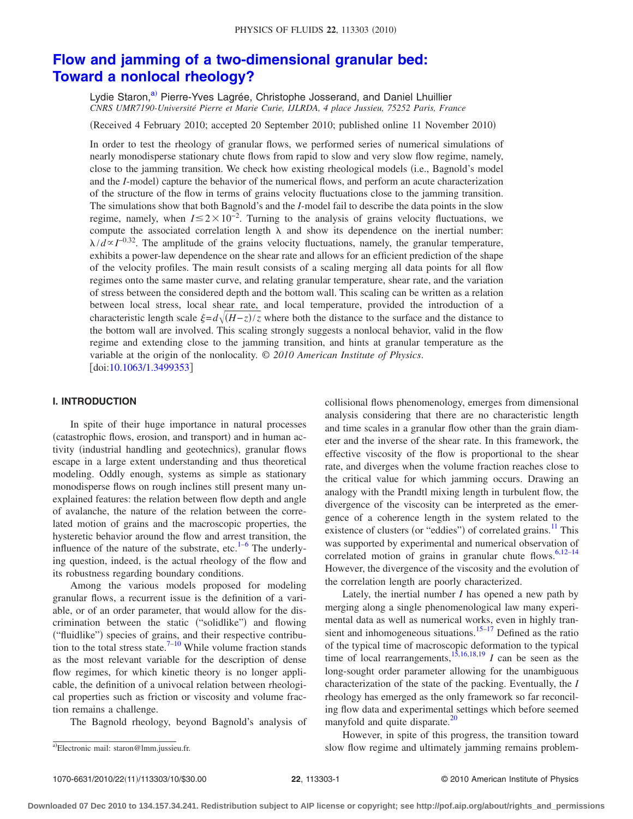# **[Flow and jamming of a two-dimensional granular bed:](http://dx.doi.org/10.1063/1.3499353) [Toward a nonlocal rheology?](http://dx.doi.org/10.1063/1.3499353)**

Lydie Staron,<sup>a)</sup> Pierre-Yves Lagrée, Christophe Josserand, and Daniel Lhuillier *CNRS UMR7190-Université Pierre et Marie Curie, IJLRDA, 4 place Jussieu, 75252 Paris, France*

(Received 4 February 2010; accepted 20 September 2010; published online 11 November 2010)

In order to test the rheology of granular flows, we performed series of numerical simulations of nearly monodisperse stationary chute flows from rapid to slow and very slow flow regime, namely, close to the jamming transition. We check how existing rheological models (i.e., Bagnold's model and the *I*-model) capture the behavior of the numerical flows, and perform an acute characterization of the structure of the flow in terms of grains velocity fluctuations close to the jamming transition. The simulations show that both Bagnold's and the *I*-model fail to describe the data points in the slow regime, namely, when  $I \leq 2 \times 10^{-2}$ . Turning to the analysis of grains velocity fluctuations, we compute the associated correlation length  $\lambda$  and show its dependence on the inertial number:  $\lambda/d \propto I^{-0.32}$ . The amplitude of the grains velocity fluctuations, namely, the granular temperature, exhibits a power-law dependence on the shear rate and allows for an efficient prediction of the shape of the velocity profiles. The main result consists of a scaling merging all data points for all flow regimes onto the same master curve, and relating granular temperature, shear rate, and the variation of stress between the considered depth and the bottom wall. This scaling can be written as a relation between local stress, local shear rate, and local temperature, provided the introduction of a characteristic length scale  $\xi = d\sqrt{(H-z)/z}$  where both the distance to the surface and the distance to the surface and the distance to the bottom wall are involved. This scaling strongly suggests a nonlocal behavior, valid in the flow regime and extending close to the jamming transition, and hints at granular temperature as the variable at the origin of the nonlocality. © *2010 American Institute of Physics*. [doi[:10.1063/1.3499353](http://dx.doi.org/10.1063/1.3499353)]

## **I. INTRODUCTION**

In spite of their huge importance in natural processes (catastrophic flows, erosion, and transport) and in human activity (industrial handling and geotechnics), granular flows escape in a large extent understanding and thus theoretical modeling. Oddly enough, systems as simple as stationary monodisperse flows on rough inclines still present many unexplained features: the relation between flow depth and angle of avalanche, the nature of the relation between the correlated motion of grains and the macroscopic properties, the hysteretic behavior around the flow and arrest transition, the influence of the nature of the substrate, etc. $1-6$  $1-6$  The underlying question, indeed, is the actual rheology of the flow and its robustness regarding boundary conditions.

Among the various models proposed for modeling granular flows, a recurrent issue is the definition of a variable, or of an order parameter, that would allow for the discrimination between the static ("solidlike") and flowing ("fluidlike") species of grains, and their respective contribu-tion to the total stress state.<sup>7–[10](#page-9-3)</sup> While volume fraction stands as the most relevant variable for the description of dense flow regimes, for which kinetic theory is no longer applicable, the definition of a univocal relation between rheological properties such as friction or viscosity and volume fraction remains a challenge.

The Bagnold rheology, beyond Bagnold's analysis of

collisional flows phenomenology, emerges from dimensional analysis considering that there are no characteristic length and time scales in a granular flow other than the grain diameter and the inverse of the shear rate. In this framework, the effective viscosity of the flow is proportional to the shear rate, and diverges when the volume fraction reaches close to the critical value for which jamming occurs. Drawing an analogy with the Prandtl mixing length in turbulent flow, the divergence of the viscosity can be interpreted as the emergence of a coherence length in the system related to the existence of clusters (or "eddies") of correlated grains.<sup>11</sup> This was supported by experimental and numerical observation of correlated motion of grains in granular chute flows.<sup>6[,12](#page-9-5)[–14](#page-9-6)</sup> However, the divergence of the viscosity and the evolution of the correlation length are poorly characterized.

Lately, the inertial number *I* has opened a new path by merging along a single phenomenological law many experimental data as well as numerical works, even in highly tran-sient and inhomogeneous situations.<sup>15[–17](#page-9-8)</sup> Defined as the ratio of the typical time of macroscopic deformation to the typical time of local rearrangements,<sup>15,[16](#page-9-9)[,18,](#page-9-10)[19](#page-9-11)</sup> *I* can be seen as the long-sought order parameter allowing for the unambiguous characterization of the state of the packing. Eventually, the *I* rheology has emerged as the only framework so far reconciling flow data and experimental settings which before seemed manyfold and quite disparate.<sup>20</sup>

However, in spite of this progress, the transition toward slow flow regime and ultimately jamming remains problem-

<span id="page-0-0"></span>a)Electronic mail: staron@lmm.jussieu.fr.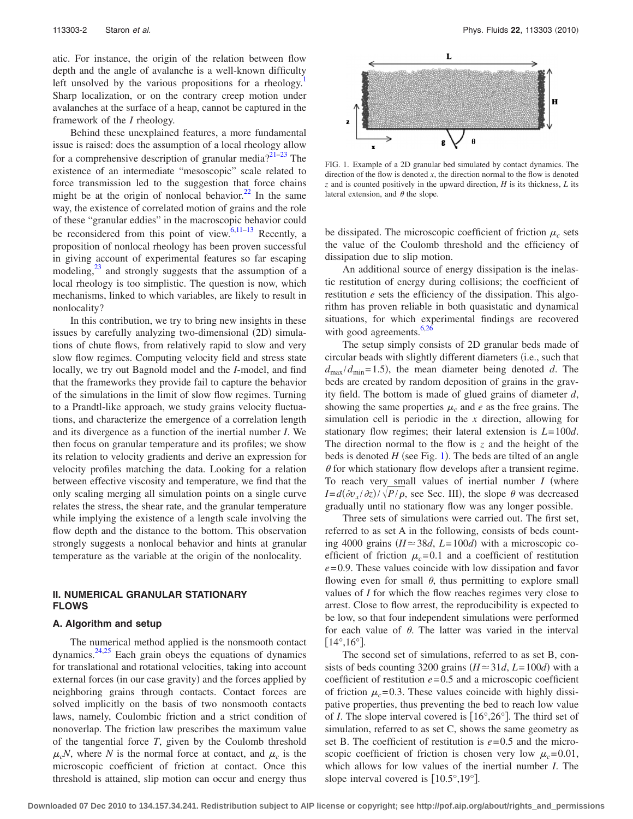atic. For instance, the origin of the relation between flow depth and the angle of avalanche is a well-known difficulty left unsolved by the various propositions for a rheology. Sharp localization, or on the contrary creep motion under avalanches at the surface of a heap, cannot be captured in the framework of the *I* rheology.

Behind these unexplained features, a more fundamental issue is raised: does the assumption of a local rheology allow for a comprehensive description of granular media? $2^{21-23}$  $2^{21-23}$  $2^{21-23}$  The existence of an intermediate "mesoscopic" scale related to force transmission led to the suggestion that force chains might be at the origin of nonlocal behavior.<sup>22</sup> In the same way, the existence of correlated motion of grains and the role of these "granular eddies" in the macroscopic behavior could be reconsidered from this point of view. $6,11-13$  $6,11-13$  Recently, a proposition of nonlocal rheology has been proven successful in giving account of experimental features so far escaping modeling, $^{23}$  and strongly suggests that the assumption of a local rheology is too simplistic. The question is now, which mechanisms, linked to which variables, are likely to result in nonlocality?

In this contribution, we try to bring new insights in these issues by carefully analyzing two-dimensional (2D) simulations of chute flows, from relatively rapid to slow and very slow flow regimes. Computing velocity field and stress state locally, we try out Bagnold model and the *I*-model, and find that the frameworks they provide fail to capture the behavior of the simulations in the limit of slow flow regimes. Turning to a Prandtl-like approach, we study grains velocity fluctuations, and characterize the emergence of a correlation length and its divergence as a function of the inertial number *I*. We then focus on granular temperature and its profiles; we show its relation to velocity gradients and derive an expression for velocity profiles matching the data. Looking for a relation between effective viscosity and temperature, we find that the only scaling merging all simulation points on a single curve relates the stress, the shear rate, and the granular temperature while implying the existence of a length scale involving the flow depth and the distance to the bottom. This observation strongly suggests a nonlocal behavior and hints at granular temperature as the variable at the origin of the nonlocality.

### **II. NUMERICAL GRANULAR STATIONARY FLOWS**

## **A. Algorithm and setup**

The numerical method applied is the nonsmooth contact dynamics. $24,25$  $24,25$  Each grain obeys the equations of dynamics for translational and rotational velocities, taking into account external forces (in our case gravity) and the forces applied by neighboring grains through contacts. Contact forces are solved implicitly on the basis of two nonsmooth contacts laws, namely, Coulombic friction and a strict condition of nonoverlap. The friction law prescribes the maximum value of the tangential force *T*, given by the Coulomb threshold  $\mu_c N$ , where *N* is the normal force at contact, and  $\mu_c$  is the microscopic coefficient of friction at contact. Once this threshold is attained, slip motion can occur and energy thus

<span id="page-1-0"></span>

FIG. 1. Example of a 2D granular bed simulated by contact dynamics. The direction of the flow is denoted  $x$ , the direction normal to the flow is denoted *z* and is counted positively in the upward direction, *H* is its thickness, *L* its lateral extension, and  $\theta$  the slope.

be dissipated. The microscopic coefficient of friction  $\mu_c$  sets the value of the Coulomb threshold and the efficiency of dissipation due to slip motion.

An additional source of energy dissipation is the inelastic restitution of energy during collisions; the coefficient of restitution *e* sets the efficiency of the dissipation. This algorithm has proven reliable in both quasistatic and dynamical situations, for which experimental findings are recovered with good agreements.<sup>6[,26](#page-9-19)</sup>

The setup simply consists of 2D granular beds made of circular beads with slightly different diameters (i.e., such that  $d_{\text{max}}/d_{\text{min}} = 1.5$ , the mean diameter being denoted *d*. The beds are created by random deposition of grains in the gravity field. The bottom is made of glued grains of diameter *d*, showing the same properties  $\mu_c$  and *e* as the free grains. The simulation cell is periodic in the *x* direction, allowing for stationary flow regimes; their lateral extension is *L*= 100*d*. The direction normal to the flow is *z* and the height of the beds is denoted  $H$  (see Fig. [1](#page-1-0)). The beds are tilted of an angle  $\theta$  for which stationary flow develops after a transient regime. To reach very small values of inertial number  $I$  (where  $I = d(\partial v_x/\partial z)/\sqrt{P/\rho}$ , see Sec. III), the slope  $\theta$  was decreased gradually until no stationary flow was any longer possible.

Three sets of simulations were carried out. The first set, referred to as set A in the following, consists of beds counting 4000 grains  $(H \approx 38d, L = 100d)$  with a microscopic coefficient of friction  $\mu_c$ =0.1 and a coefficient of restitution *e*= 0.9. These values coincide with low dissipation and favor flowing even for small  $\theta$ , thus permitting to explore small values of *I* for which the flow reaches regimes very close to arrest. Close to flow arrest, the reproducibility is expected to be low, so that four independent simulations were performed for each value of  $\theta$ . The latter was varied in the interval  $[14^{\circ}, 16^{\circ}].$ 

The second set of simulations, referred to as set B, consists of beds counting 3200 grains  $(H \approx 31d, L = 100d)$  with a coefficient of restitution *e*= 0.5 and a microscopic coefficient of friction  $\mu_c$ =0.3. These values coincide with highly dissipative properties, thus preventing the bed to reach low value of *I*. The slope interval covered is  $[16^{\circ}, 26^{\circ}]$ . The third set of simulation, referred to as set C, shows the same geometry as set B. The coefficient of restitution is *e*= 0.5 and the microscopic coefficient of friction is chosen very low  $\mu_c$ = 0.01, which allows for low values of the inertial number *I*. The slope interval covered is  $[10.5^{\circ}, 19^{\circ}]$ .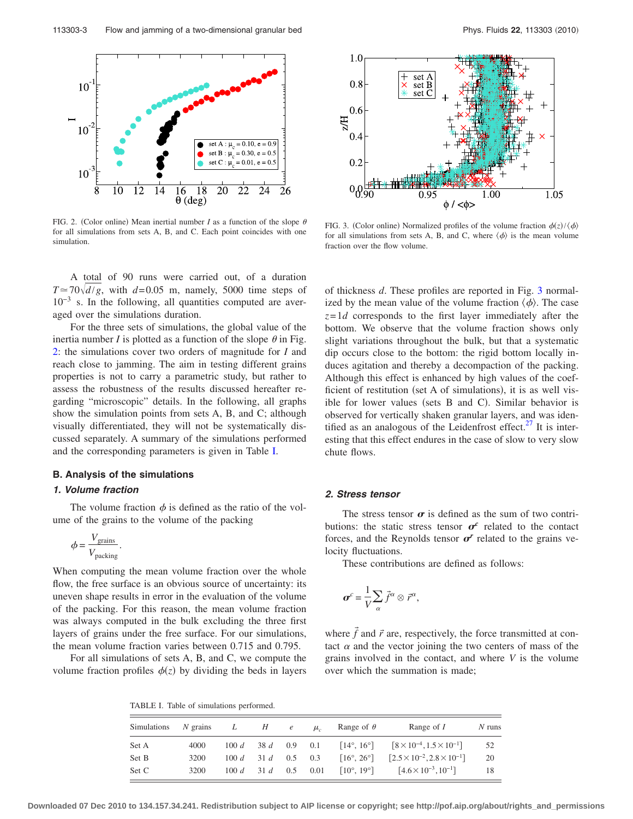<span id="page-2-0"></span>

FIG. 2. (Color online) Mean inertial number *I* as a function of the slope  $\theta$ for all simulations from sets A, B, and C. Each point coincides with one simulation.

A total of 90 runs were carried out, of a duration  $T \approx 70 \sqrt{d/g}$ , with  $d = 0.05$  m, namely, 5000 time steps of  $10^{-3}$  s. In the following, all quantities computed are averaged over the simulations duration.

For the three sets of simulations, the global value of the inertia number *I* is plotted as a function of the slope  $\theta$  in Fig. [2:](#page-2-0) the simulations cover two orders of magnitude for *I* and reach close to jamming. The aim in testing different grains properties is not to carry a parametric study, but rather to assess the robustness of the results discussed hereafter regarding "microscopic" details. In the following, all graphs show the simulation points from sets A, B, and C; although visually differentiated, they will not be systematically discussed separately. A summary of the simulations performed and the corresponding parameters is given in Table [I.](#page-2-1)

#### **B. Analysis of the simulations**

# *1. Volume fraction*

The volume fraction  $\phi$  is defined as the ratio of the volume of the grains to the volume of the packing

$$
\phi = \frac{V_{\text{grains}}}{V_{\text{packing}}}.
$$

When computing the mean volume fraction over the whole flow, the free surface is an obvious source of uncertainty: its uneven shape results in error in the evaluation of the volume of the packing. For this reason, the mean volume fraction was always computed in the bulk excluding the three first layers of grains under the free surface. For our simulations, the mean volume fraction varies between 0.715 and 0.795.

<span id="page-2-1"></span>For all simulations of sets A, B, and C, we compute the volume fraction profiles  $\phi(z)$  by dividing the beds in layers

<span id="page-2-2"></span>

FIG. 3. (Color online) Normalized profiles of the volume fraction  $\phi(z)/\langle \phi \rangle$ for all simulations from sets A, B, and C, where  $\langle \phi \rangle$  is the mean volume fraction over the flow volume.

of thickness *d*. These profiles are reported in Fig. [3](#page-2-2) normalized by the mean value of the volume fraction  $\langle \phi \rangle$ . The case  $z = 1d$  corresponds to the first layer immediately after the bottom. We observe that the volume fraction shows only slight variations throughout the bulk, but that a systematic dip occurs close to the bottom: the rigid bottom locally induces agitation and thereby a decompaction of the packing. Although this effect is enhanced by high values of the coefficient of restitution (set A of simulations), it is as well visible for lower values (sets B and C). Similar behavior is observed for vertically shaken granular layers, and was identified as an analogous of the Leidenfrost effect. $27$  It is interesting that this effect endures in the case of slow to very slow chute flows.

#### *2. Stress tensor*

The stress tensor  $\sigma$  is defined as the sum of two contributions: the static stress tensor  $\sigma^c$  related to the contact forces, and the Reynolds tensor  $\sigma^r$  related to the grains velocity fluctuations.

These contributions are defined as follows:

$$
\boldsymbol{\sigma}^c = \frac{1}{V} \sum_{\alpha} \vec{f}^{\alpha} \otimes \vec{r}^{\alpha},
$$

where  $\vec{f}$  and  $\vec{r}$  are, respectively, the force transmitted at contact  $\alpha$  and the vector joining the two centers of mass of the grains involved in the contact, and where *V* is the volume over which the summation is made;

TABLE I. Table of simulations performed.

| Simulations | $N$ grains $L$ $H$ |                      | $\epsilon$ | $\mu_{\alpha}$ | Range of $\theta$          | Range of $I$                               | $N$ runs |
|-------------|--------------------|----------------------|------------|----------------|----------------------------|--------------------------------------------|----------|
| Set A       | 4000               | $100 d$ 38 d 0.9 0.1 |            |                | $[14^{\circ}, 16^{\circ}]$ | $[8 \times 10^{-4}, 1.5 \times 10^{-1}]$   | 52       |
| Set B       | 3200               | $100 d$ 31 d 0.5 0.3 |            |                | $[16^{\circ}, 26^{\circ}]$ | $[2.5 \times 10^{-2}, 2.8 \times 10^{-1}]$ | 20       |
| Set C       | 3200               | $100 d$ 31 d 0.5     |            | 0.01           | $[10^{\circ}, 19^{\circ}]$ | $[4.6 \times 10^{-3}, 10^{-1}]$            | 18       |

**Downloaded 07 Dec 2010 to 134.157.34.241. Redistribution subject to AIP license or copyright; see http://pof.aip.org/about/rights\_and\_permissions**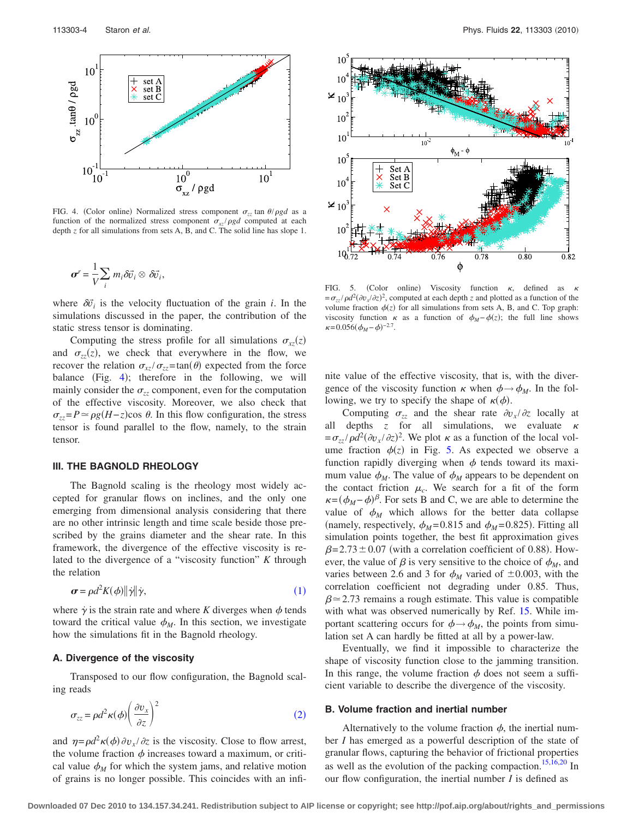<span id="page-3-0"></span>

FIG. 4. (Color online) Normalized stress component  $\sigma_{zz}$  tan  $\theta$ / $\rho g d$  as a function of the normalized stress component  $\sigma_{xz}/\rho g d$  computed at each depth *z* for all simulations from sets A, B, and C. The solid line has slope 1.

$$
\boldsymbol{\sigma}^r = \frac{1}{V} \sum_i m_i \delta \vec{v}_i \otimes \delta \vec{v}_i,
$$

where  $\delta \vec{v}_i$  is the velocity fluctuation of the grain *i*. In the simulations discussed in the paper, the contribution of the static stress tensor is dominating.

Computing the stress profile for all simulations  $\sigma_{xz}(z)$ and  $\sigma_{zz}(z)$ , we check that everywhere in the flow, we recover the relation  $\sigma_{xz}/\sigma_{zz}$  = tan( $\theta$ ) expected from the force balance (Fig. [4](#page-3-0)); therefore in the following, we will mainly consider the  $\sigma_{zz}$  component, even for the computation of the effective viscosity. Moreover, we also check that  $\sigma_{zz} = P \approx \rho g (H - z) \cos \theta$ . In this flow configuration, the stress tensor is found parallel to the flow, namely, to the strain tensor.

#### **III. THE BAGNOLD RHEOLOGY**

The Bagnold scaling is the rheology most widely accepted for granular flows on inclines, and the only one emerging from dimensional analysis considering that there are no other intrinsic length and time scale beside those prescribed by the grains diameter and the shear rate. In this framework, the divergence of the effective viscosity is related to the divergence of a "viscosity function" *K* through the relation

$$
\sigma = \rho d^2 K(\phi) ||\dot{\gamma}|| \dot{\gamma}, \qquad (1)
$$

<span id="page-3-1"></span>where  $\dot{\gamma}$  is the strain rate and where *K* diverges when  $\phi$  tends toward the critical value  $\phi_M$ . In this section, we investigate how the simulations fit in the Bagnold rheology.

### **A. Divergence of the viscosity**

Transposed to our flow configuration, the Bagnold scaling reads

<span id="page-3-2"></span>
$$
\sigma_{zz} = \rho d^2 \kappa(\phi) \left(\frac{\partial v_x}{\partial z}\right)^2 \tag{2}
$$

and  $\eta = \rho d^2 \kappa(\phi) \partial v_x / \partial z$  is the viscosity. Close to flow arrest, the volume fraction  $\phi$  increases toward a maximum, or critical value  $\phi_M$  for which the system jams, and relative motion of grains is no longer possible. This coincides with an infi-

<span id="page-3-3"></span>

 $FIG. 5.$ (Color online) Viscosity function  $\kappa$ , defined as  $\kappa$  $=\sigma_{zz}/\rho d^2(\partial v_x/\partial z)^2$ , computed at each depth *z* and plotted as a function of the volume fraction  $\phi(z)$  for all simulations from sets A, B, and C. Top graph: viscosity function  $\kappa$  as a function of  $\phi_M - \phi(z)$ ; the full line shows  $\kappa = 0.056(\phi_M - \phi)^{-2.7}.$ 

nite value of the effective viscosity, that is, with the divergence of the viscosity function  $\kappa$  when  $\phi \rightarrow \phi_M$ . In the following, we try to specify the shape of  $\kappa(\phi)$ .

Computing  $\sigma_{zz}$  and the shear rate  $\partial v_x / \partial z$  locally at all depths  $z$  for all simulations, we evaluate  $\kappa$  $=\sigma_{zz}/\rho d^2(\partial v_x/\partial z)^2$ . We plot  $\kappa$  as a function of the local volume fraction  $\phi(z)$  in Fig. [5.](#page-3-3) As expected we observe a function rapidly diverging when  $\phi$  tends toward its maximum value  $\phi_M$ . The value of  $\phi_M$  appears to be dependent on the contact friction  $\mu_c$ . We search for a fit of the form  $\kappa = (\phi_M - \phi)^{\beta}$ . For sets B and C, we are able to determine the value of  $\phi_M$  which allows for the better data collapse (namely, respectively,  $\phi_M$ =0.815 and  $\phi_M$ =0.825). Fitting all simulation points together, the best fit approximation gives  $\beta = 2.73 \pm 0.07$  (with a correlation coefficient of 0.88). However, the value of  $\beta$  is very sensitive to the choice of  $\phi_M$ , and varies between 2.6 and 3 for  $\phi_M$  varied of  $\pm 0.003$ , with the correlation coefficient not degrading under 0.85. Thus,  $\beta \approx 2.73$  remains a rough estimate. This value is compatible with what was observed numerically by Ref. [15.](#page-9-7) While important scattering occurs for  $\phi \rightarrow \phi_M$ , the points from simulation set A can hardly be fitted at all by a power-law.

Eventually, we find it impossible to characterize the shape of viscosity function close to the jamming transition. In this range, the volume fraction  $\phi$  does not seem a sufficient variable to describe the divergence of the viscosity.

#### **B. Volume fraction and inertial number**

Alternatively to the volume fraction  $\phi$ , the inertial number *I* has emerged as a powerful description of the state of granular flows, capturing the behavior of frictional properties as well as the evolution of the packing compaction.<sup>15,[16,](#page-9-9)[20](#page-9-12)</sup> In our flow configuration, the inertial number *I* is defined as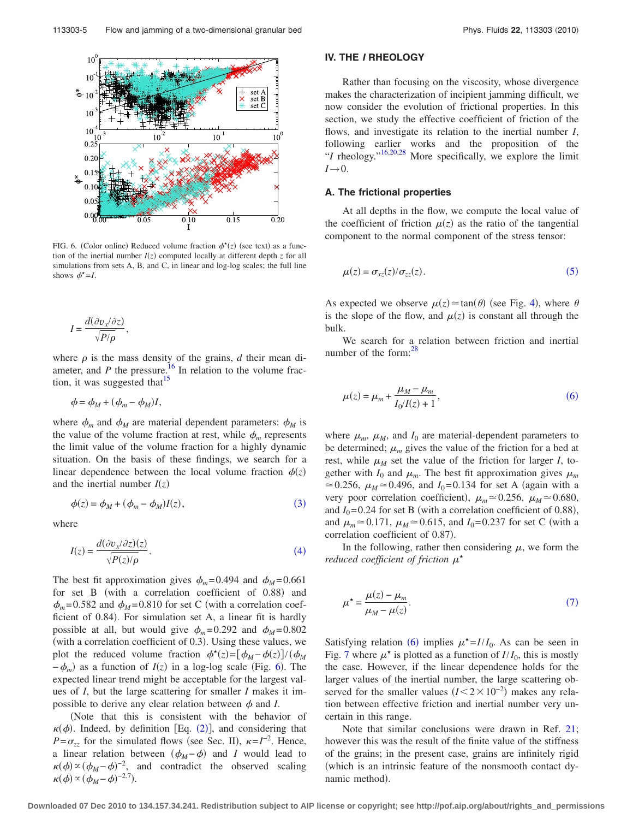<span id="page-4-2"></span>

FIG. 6. (Color online) Reduced volume fraction  $\phi^*(z)$  (see text) as a function of the inertial number  $I(z)$  computed locally at different depth  $z$  for all simulations from sets A, B, and C, in linear and log-log scales; the full line shows  $\phi^* = I$ .

$$
I = \frac{d(\partial v_x/\partial z)}{\sqrt{P/\rho}},
$$

where  $\rho$  is the mass density of the grains, *d* their mean diameter, and  $P$  the pressure.<sup>16</sup> In relation to the volume fraction, it was suggested that  $\frac{15}{15}$ 

$$
\phi = \phi_M + (\phi_m - \phi_M)I,
$$

where  $\phi_m$  and  $\phi_M$  are material dependent parameters:  $\phi_M$  is the value of the volume fraction at rest, while  $\phi_m$  represents the limit value of the volume fraction for a highly dynamic situation. On the basis of these findings, we search for a linear dependence between the local volume fraction  $\phi(z)$ and the inertial number  $I(z)$ 

$$
\phi(z) = \phi_M + (\phi_m - \phi_M)I(z),\tag{3}
$$

<span id="page-4-1"></span><span id="page-4-0"></span>where

$$
I(z) = \frac{d(\partial v_x/\partial z)(z)}{\sqrt{P(z)/\rho}}.
$$
\n(4)

The best fit approximation gives  $\phi_m$ =0.494 and  $\phi_M$ =0.661 for set B (with a correlation coefficient of 0.88) and  $\phi_m$ =0.582 and  $\phi_M$ =0.810 for set C (with a correlation coefficient of 0.84). For simulation set A, a linear fit is hardly possible at all, but would give  $\phi_m$ =0.292 and  $\phi_M$ =0.802 (with a correlation coefficient of 0.3). Using these values, we plot the reduced volume fraction  $\phi^*(z) = [\phi_M - \phi(z)]/(\phi_M)$  $-\phi_m$ ) as a function of *I*(*z*) in a log-log scale (Fig. [6](#page-4-2)). The expected linear trend might be acceptable for the largest values of *I*, but the large scattering for smaller *I* makes it impossible to derive any clear relation between  $\phi$  and *I*.

(Note that this is consistent with the behavior of  $\kappa(\phi)$ . Indeed, by definition [Eq. ([2](#page-3-2))], and considering that  $P = \sigma_{zz}$  for the simulated flows (see Sec. II),  $\kappa = I^{-2}$ . Hence, a linear relation between  $(\phi_M - \phi)$  and *I* would lead to  $\kappa(\phi) \propto (\phi_M - \phi)^{-2}$ , and contradict the observed scaling  $\kappa(\phi) \propto (\phi_M - \phi)^{-2.7}$ ).

#### **IV. THE** *I* **RHEOLOGY**

Rather than focusing on the viscosity, whose divergence makes the characterization of incipient jamming difficult, we now consider the evolution of frictional properties. In this section, we study the effective coefficient of friction of the flows, and investigate its relation to the inertial number *I*, following earlier works and the proposition of the "*I* rheology."<sup>16[,20](#page-9-12)[,28](#page-9-21)</sup> More specifically, we explore the limit  $I\rightarrow 0$ .

#### **A. The frictional properties**

At all depths in the flow, we compute the local value of the coefficient of friction  $\mu(z)$  as the ratio of the tangential component to the normal component of the stress tensor:

<span id="page-4-3"></span>
$$
\mu(z) = \sigma_{xz}(z) / \sigma_{zz}(z). \tag{5}
$$

As expected we observe  $\mu(z) \approx \tan(\theta)$  (see Fig. [4](#page-3-0)), where  $\theta$ is the slope of the flow, and  $\mu(z)$  is constant all through the bulk.

We search for a relation between friction and inertial number of the form: $28$ 

<span id="page-4-4"></span>
$$
\mu(z) = \mu_m + \frac{\mu_M - \mu_m}{I_0/I(z) + 1},\tag{6}
$$

where  $\mu_m$ ,  $\mu_M$ , and  $I_0$  are material-dependent parameters to be determined;  $\mu_m$  gives the value of the friction for a bed at rest, while  $\mu_M$  set the value of the friction for larger *I*, together with  $I_0$  and  $\mu_m$ . The best fit approximation gives  $\mu_m$  $\approx$  0.256,  $\mu_M \approx$  0.496, and *I*<sub>0</sub>=0.134 for set A (again with a very poor correlation coefficient),  $\mu_m \approx 0.256$ ,  $\mu_M \approx 0.680$ , and  $I_0$ =0.24 for set B (with a correlation coefficient of 0.88), and  $\mu_m \approx 0.171$ ,  $\mu_M \approx 0.615$ , and  $I_0 = 0.237$  for set C (with a correlation coefficient of 0.87).

In the following, rather then considering  $\mu$ , we form the *reduced coefficient of friction*  $\mu^*$ 

<span id="page-4-5"></span>
$$
\mu^* = \frac{\mu(z) - \mu_m}{\mu_M - \mu(z)}.
$$
\n(7)

Satisfying relation ([6](#page-4-4)) implies  $\mu^* = I/I_0$ . As can be seen in Fig. [7](#page-5-0) where  $\mu^*$  is plotted as a function of  $I/I_0$ , this is mostly the case. However, if the linear dependence holds for the larger values of the inertial number, the large scattering observed for the smaller values  $(I < 2 \times 10^{-2})$  makes any relation between effective friction and inertial number very uncertain in this range.

Note that similar conclusions were drawn in Ref. [21;](#page-9-13) however this was the result of the finite value of the stiffness of the grains; in the present case, grains are infinitely rigid (which is an intrinsic feature of the nonsmooth contact dynamic method).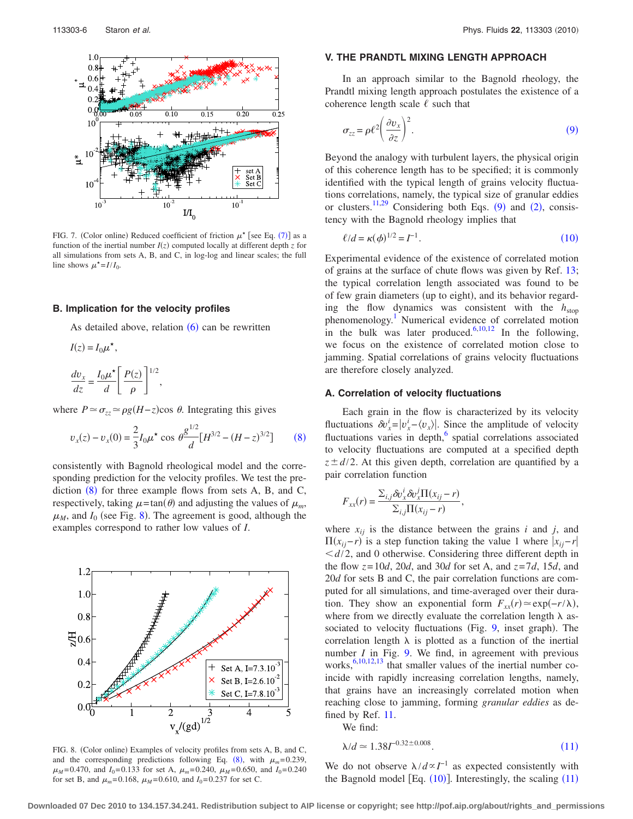<span id="page-5-0"></span>

FIG. [7](#page-4-5). (Color online) Reduced coefficient of friction  $\mu^*$  [see Eq. (7)] as a function of the inertial number  $I(z)$  computed locally at different depth  $z$  for all simulations from sets A, B, and C, in log-log and linear scales; the full line shows  $\mu^* = I/I_0$ .

#### **B. Implication for the velocity profiles**

As detailed above, relation  $(6)$  $(6)$  $(6)$  can be rewritten

$$
I(z) = I_0 \mu^*,
$$
  
\n
$$
\frac{dv_x}{dz} = \frac{I_0 \mu^*}{d} \left[ \frac{P(z)}{\rho} \right]^{1/2},
$$

<span id="page-5-1"></span>where  $P \approx \sigma_{zz} \approx \rho g (H - z) \cos \theta$ . Integrating this gives

$$
v_x(z) - v_x(0) = \frac{2}{3} I_0 \mu^* \cos \theta \frac{g^{1/2}}{d} [H^{3/2} - (H - z)^{3/2}] \tag{8}
$$

consistently with Bagnold rheological model and the corresponding prediction for the velocity profiles. We test the prediction  $(8)$  $(8)$  $(8)$  for three example flows from sets A, B, and C, respectively, taking  $\mu = \tan(\theta)$  and adjusting the values of  $\mu_m$ ,  $\mu_M$ , and  $I_0$  (see Fig. [8](#page-5-2)). The agreement is good, although the examples correspond to rather low values of *I*.

<span id="page-5-2"></span>

FIG. 8. (Color online) Examples of velocity profiles from sets A, B, and C, and the corresponding predictions following Eq.  $(8)$  $(8)$  $(8)$ , with  $\mu_m = 0.239$ ,  $\mu_M$ =0.470, and *I*<sub>0</sub>=0.133 for set A,  $\mu_m$ =0.240,  $\mu_M$ =0.650, and *I*<sub>0</sub>=0.240 for set B, and  $\mu_m = 0.168$ ,  $\mu_M = 0.610$ , and  $I_0 = 0.237$  for set C.

#### **V. THE PRANDTL MIXING LENGTH APPROACH**

In an approach similar to the Bagnold rheology, the Prandtl mixing length approach postulates the existence of a coherence length scale  $\ell$  such that

<span id="page-5-3"></span>
$$
\sigma_{zz} = \rho \ell^2 \left(\frac{\partial v_x}{\partial z}\right)^2.
$$
\n(9)

Beyond the analogy with turbulent layers, the physical origin of this coherence length has to be specified; it is commonly identified with the typical length of grains velocity fluctuations correlations, namely, the typical size of granular eddies or clusters.<sup>11,[29](#page-9-22)</sup> Considering both Eqs.  $(9)$  $(9)$  $(9)$  and  $(2)$  $(2)$  $(2)$ , consistency with the Bagnold rheology implies that

$$
\ell/d = \kappa(\phi)^{1/2} = I^{-1}.
$$
\n(10)

<span id="page-5-4"></span>Experimental evidence of the existence of correlated motion of grains at the surface of chute flows was given by Ref. [13;](#page-9-16) the typical correlation length associated was found to be of few grain diameters (up to eight), and its behavior regarding the flow dynamics was consistent with the  $h_{\text{stop}}$ phenomenology.<sup>1</sup> Numerical evidence of correlated motion in the bulk was later produced.<sup>6,[10,](#page-9-3)[12](#page-9-5)</sup> In the following, we focus on the existence of correlated motion close to jamming. Spatial correlations of grains velocity fluctuations are therefore closely analyzed.

#### **A. Correlation of velocity fluctuations**

Each grain in the flow is characterized by its velocity fluctuations  $\delta v_x^i = |v_x^i - \langle v_x \rangle|$ . Since the amplitude of velocity fluctuations varies in depth, $6$  spatial correlations associated to velocity fluctuations are computed at a specified depth  $z \pm d/2$ . At this given depth, correlation are quantified by a pair correlation function

$$
F_{xx}(r) = \frac{\sum_{i,j} \delta v_x^i \delta v_x^j \Pi(x_{ij} - r)}{\sum_{i,j} \Pi(x_{ij} - r)},
$$

where  $x_{ij}$  is the distance between the grains *i* and *j*, and  $\Pi(x_{ij}-r)$  is a step function taking the value 1 where  $|x_{ij}-r|$  $d/2$ , and 0 otherwise. Considering three different depth in the flow  $z=10d$ , 20*d*, and 30*d* for set A, and  $z=7d$ , 15*d*, and 20*d* for sets B and C, the pair correlation functions are computed for all simulations, and time-averaged over their duration. They show an exponential form  $F_{xx}(r) \approx \exp(-r/\lambda)$ , where from we directly evaluate the correlation length  $\lambda$  as-sociated to velocity fluctuations (Fig. [9,](#page-6-0) inset graph). The correlation length  $\lambda$  is plotted as a function of the inertial number *I* in Fig. [9.](#page-6-0) We find, in agreement with previous works,  $6,10,12,13$  $6,10,12,13$  $6,10,12,13$  $6,10,12,13$  that smaller values of the inertial number coincide with rapidly increasing correlation lengths, namely, that grains have an increasingly correlated motion when reaching close to jamming, forming *granular eddies* as defined by Ref. [11.](#page-9-4)

We find:

<span id="page-5-5"></span>
$$
\lambda/d \simeq 1.38I^{-0.32 \pm 0.008}.\tag{11}
$$

We do not observe  $\lambda/d \propto I^{-1}$  as expected consistently with the Bagnold model [Eq.  $(10)$  $(10)$  $(10)$ ]. Interestingly, the scaling  $(11)$  $(11)$  $(11)$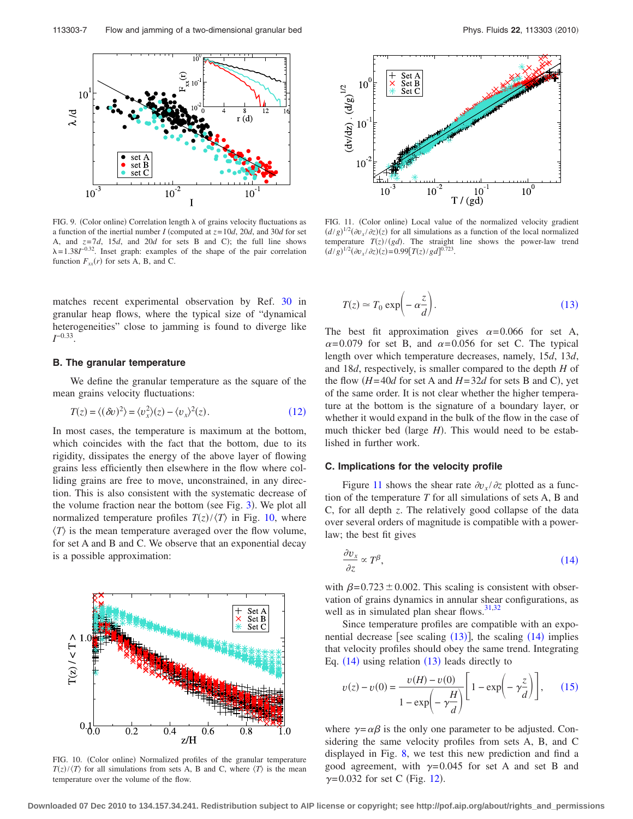<span id="page-6-0"></span>

FIG. 9. (Color online) Correlation length  $\lambda$  of grains velocity fluctuations as a function of the inertial number *I* (computed at  $z = 10d$ , 20*d*, and 30*d* for set A, and  $z=7d$ , 15*d*, and 20*d* for sets B and C); the full line shows  $\lambda = 1.38I^{-0.32}$ . Inset graph: examples of the shape of the pair correlation function  $F_{xx}(r)$  for sets A, B, and C.

matches recent experimental observation by Ref. [30](#page-9-23) in granular heap flows, where the typical size of "dynamical heterogeneities" close to jamming is found to diverge like *I*<sup>−0.33</sup>.

### **B. The granular temperature**

We define the granular temperature as the square of the mean grains velocity fluctuations:

$$
T(z) = \langle (\delta v)^2 \rangle = \langle v_x^2 \rangle(z) - \langle v_x \rangle^2(z). \tag{12}
$$

<span id="page-6-1"></span>In most cases, the temperature is maximum at the bottom, which coincides with the fact that the bottom, due to its rigidity, dissipates the energy of the above layer of flowing grains less efficiently then elsewhere in the flow where colliding grains are free to move, unconstrained, in any direction. This is also consistent with the systematic decrease of the volume fraction near the bottom (see Fig. [3](#page-2-2)). We plot all normalized temperature profiles  $T(z) / \langle T \rangle$  in Fig. [10,](#page-6-2) where  $\langle T \rangle$  is the mean temperature averaged over the flow volume, for set A and B and C. We observe that an exponential decay is a possible approximation:

<span id="page-6-2"></span>

FIG. 10. (Color online) Normalized profiles of the granular temperature  $T(z)/\langle T \rangle$  for all simulations from sets A, B and C, where  $\langle T \rangle$  is the mean temperature over the volume of the flow.

<span id="page-6-4"></span>

FIG. 11. (Color online) Local value of the normalized velocity gradient  $(d/g)^{1/2}(\partial v_x/\partial z)(z)$  for all simulations as a function of the local normalized temperature  $T(z)/(gd)$ . The straight line shows the power-law trend  $(d/g)^{1/2}(\partial v_x/\partial z)(z) = 0.99[T(z)/gd]^{0.723}.$ 

<span id="page-6-3"></span>
$$
T(z) \simeq T_0 \exp\left(-\alpha \frac{z}{d}\right). \tag{13}
$$

The best fit approximation gives  $\alpha = 0.066$  for set A,  $\alpha$ = 0.079 for set B, and  $\alpha$ = 0.056 for set C. The typical length over which temperature decreases, namely, 15*d*, 13*d*, and 18*d*, respectively, is smaller compared to the depth *H* of the flow  $(H=40d$  for set A and  $H=32d$  for sets B and C), yet of the same order. It is not clear whether the higher temperature at the bottom is the signature of a boundary layer, or whether it would expand in the bulk of the flow in the case of much thicker bed (large *H*). This would need to be established in further work.

## **C. Implications for the velocity profile**

Figure [11](#page-6-4) shows the shear rate  $\partial v_x / \partial z$  plotted as a function of the temperature *T* for all simulations of sets A, B and C, for all depth *z*. The relatively good collapse of the data over several orders of magnitude is compatible with a powerlaw; the best fit gives

<span id="page-6-5"></span>
$$
\frac{\partial v_x}{\partial z} \propto T^{\beta},\tag{14}
$$

with  $\beta = 0.723 \pm 0.002$ . This scaling is consistent with observation of grains dynamics in annular shear configurations, as well as in simulated plan shear flows. $31,32$  $31,32$ 

Since temperature profiles are compatible with an exponential decrease [see scaling  $(13)$  $(13)$  $(13)$ ], the scaling  $(14)$  $(14)$  $(14)$  implies that velocity profiles should obey the same trend. Integrating Eq.  $(14)$  $(14)$  $(14)$  using relation  $(13)$  $(13)$  $(13)$  leads directly to

<span id="page-6-6"></span>
$$
v(z) - v(0) = \frac{v(H) - v(0)}{1 - \exp\left(-\frac{H}{\gamma_d}\right)} \left[1 - \exp\left(-\frac{z}{d}\right)\right],\qquad(15)
$$

where  $\gamma = \alpha \beta$  is the only one parameter to be adjusted. Considering the same velocity profiles from sets A, B, and C displayed in Fig. [8,](#page-5-2) we test this new prediction and find a good agreement, with  $\gamma = 0.045$  for set A and set B and  $\gamma = 0.032$  for set C (Fig. [12](#page-7-0)).

**Downloaded 07 Dec 2010 to 134.157.34.241. Redistribution subject to AIP license or copyright; see http://pof.aip.org/about/rights\_and\_permissions**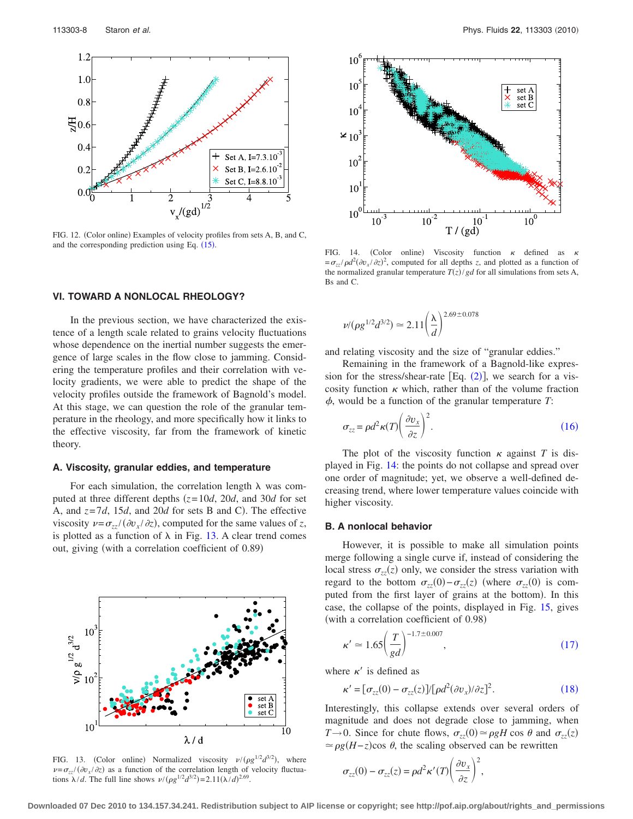<span id="page-7-0"></span>

FIG. 12. (Color online) Examples of velocity profiles from sets A, B, and C, and the corresponding prediction using Eq.  $(15)$  $(15)$  $(15)$ .

#### **VI. TOWARD A NONLOCAL RHEOLOGY?**

In the previous section, we have characterized the existence of a length scale related to grains velocity fluctuations whose dependence on the inertial number suggests the emergence of large scales in the flow close to jamming. Considering the temperature profiles and their correlation with velocity gradients, we were able to predict the shape of the velocity profiles outside the framework of Bagnold's model. At this stage, we can question the role of the granular temperature in the rheology, and more specifically how it links to the effective viscosity, far from the framework of kinetic theory.

#### **A. Viscosity, granular eddies, and temperature**

For each simulation, the correlation length  $\lambda$  was computed at three different depths  $(z=10d, 20d,$  and 30*d* for set A, and  $z=7d$ , 15*d*, and 20*d* for sets B and C). The effective viscosity  $\nu = \sigma_{zz}/(\partial v_x/\partial z)$ , computed for the same values of *z*, is plotted as a function of  $\lambda$  in Fig. [13.](#page-7-1) A clear trend comes out, giving (with a correlation coefficient of 0.89)

<span id="page-7-1"></span>

FIG. 13. (Color online) Normalized viscosity  $\nu / (\rho g^{1/2} d^{3/2})$ , where  $\nu = \sigma_{zz}/(\partial v_x/\partial z)$  as a function of the correlation length of velocity fluctuations  $\lambda/d$ . The full line shows  $\nu / (\rho g^{1/2} d^{3/2}) = 2.11(\lambda/d)^{2.69}$ .

<span id="page-7-3"></span>

FIG. 14. (Color online) Viscosity function  $\kappa$  defined as  $\kappa$  $=\sigma_{zz}/\rho d^2(\partial v_x/\partial z)^2$ , computed for all depths *z*, and plotted as a function of the normalized granular temperature  $T(z)/gd$  for all simulations from sets A, Bs and C.

$$
\nu/(\rho g^{1/2}d^{3/2}) \simeq 2.11 \left(\frac{\lambda}{d}\right)^{2.69 \pm 0.078}
$$

and relating viscosity and the size of "granular eddies."

Remaining in the framework of a Bagnold-like expression for the stress/shear-rate [Eq.  $(2)$  $(2)$  $(2)$ ], we search for a viscosity function  $\kappa$  which, rather than of the volume fraction  $\phi$ , would be a function of the granular temperature  $T$ :

<span id="page-7-2"></span>
$$
\sigma_{zz} = \rho d^2 \kappa(T) \left(\frac{\partial v_x}{\partial z}\right)^2.
$$
 (16)

The plot of the viscosity function  $\kappa$  against *T* is displayed in Fig. [14:](#page-7-3) the points do not collapse and spread over one order of magnitude; yet, we observe a well-defined decreasing trend, where lower temperature values coincide with higher viscosity.

#### **B. A nonlocal behavior**

However, it is possible to make all simulation points merge following a single curve if, instead of considering the local stress  $\sigma_{zz}(z)$  only, we consider the stress variation with regard to the bottom  $\sigma_{zz}(0) - \sigma_{zz}(z)$  (where  $\sigma_{zz}(0)$  is computed from the first layer of grains at the bottom). In this case, the collapse of the points, displayed in Fig. [15,](#page-8-0) gives (with a correlation coefficient of 0.98)

<span id="page-7-4"></span>
$$
\kappa' \simeq 1.65 \left(\frac{T}{gd}\right)^{-1.7 \pm 0.007},\tag{17}
$$

<span id="page-7-5"></span>where  $\kappa'$  is defined as

$$
\kappa' = [\sigma_{zz}(0) - \sigma_{zz}(z)]/[\rho d^2(\partial v_x)/\partial z]^2.
$$
 (18)

Interestingly, this collapse extends over several orders of magnitude and does not degrade close to jamming, when *T* $\rightarrow$  0. Since for chute flows,  $\sigma_{zz}(0) \approx \rho g H \cos \theta$  and  $\sigma_{zz}(z)$  $\approx \rho g (H - z) \cos \theta$ , the scaling observed can be rewritten

$$
\sigma_{zz}(0) - \sigma_{zz}(z) = \rho d^2 \kappa'(T) \left(\frac{\partial v_x}{\partial z}\right)^2,
$$

**Downloaded 07 Dec 2010 to 134.157.34.241. Redistribution subject to AIP license or copyright; see http://pof.aip.org/about/rights\_and\_permissions**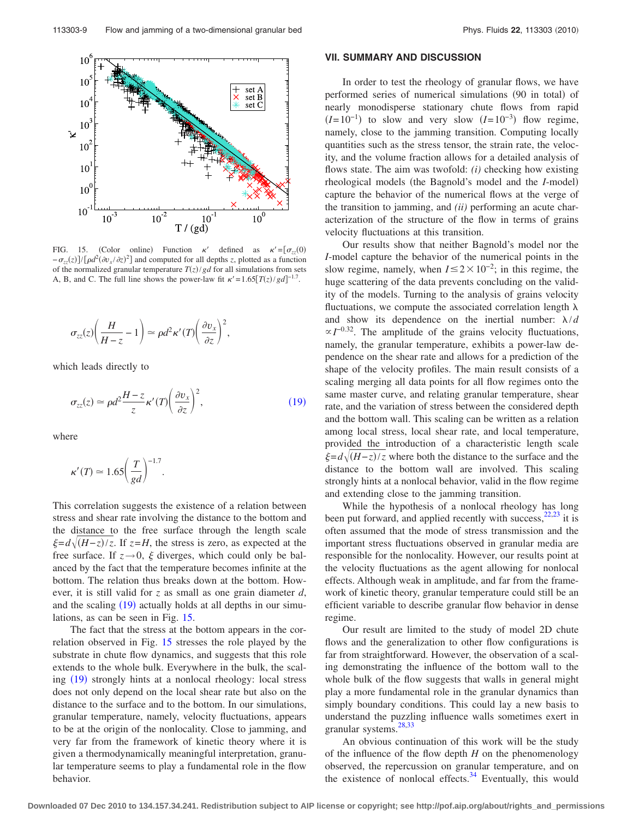<span id="page-8-0"></span>

FIG. 15. Color online) Function  $\kappa'$  defined as  $\kappa' = [\sigma_{zz}(0)]$  $-\sigma_{zz}(z)$ ]/[ $\rho d^2(\partial v_x/\partial z)^2$ ] and computed for all depths *z*, plotted as a function of the normalized granular temperature  $T(z)/gd$  for all simulations from sets A, B, and C. The full line shows the power-law fit  $\kappa' = 1.65[T(z)/gd]^{-1.7}$ .

$$
\sigma_{zz}(z) \bigg( \frac{H}{H-z} - 1 \bigg) \simeq \rho d^2 \kappa'(T) \bigg( \frac{\partial v_x}{\partial z} \bigg)^2,
$$

<span id="page-8-1"></span>which leads directly to

$$
\sigma_{zz}(z) \simeq \rho d^2 \frac{H-z}{z} \kappa'(T) \left(\frac{\partial v_x}{\partial z}\right)^2,\tag{19}
$$

where

$$
\kappa'(T) \simeq 1.65 \bigg(\frac{T}{gd}\bigg)^{-1.7}.
$$

This correlation suggests the existence of a relation between stress and shear rate involving the distance to the bottom and the distance to the free surface through the length scale  $\frac{d\theta}{dt} = d\sqrt{(H-z)/z}$ . If  $z = H$ , the stress is zero, as expected at the free surface. If  $z \rightarrow 0$ ,  $\xi$  diverges, which could only be balanced by the fact that the temperature becomes infinite at the bottom. The relation thus breaks down at the bottom. However, it is still valid for *z* as small as one grain diameter *d*, and the scaling ([19](#page-8-1)) actually holds at all depths in our simulations, as can be seen in Fig. [15.](#page-8-0)

The fact that the stress at the bottom appears in the correlation observed in Fig. [15](#page-8-0) stresses the role played by the substrate in chute flow dynamics, and suggests that this role extends to the whole bulk. Everywhere in the bulk, the scal-ing ([19](#page-8-1)) strongly hints at a nonlocal rheology: local stress does not only depend on the local shear rate but also on the distance to the surface and to the bottom. In our simulations, granular temperature, namely, velocity fluctuations, appears to be at the origin of the nonlocality. Close to jamming, and very far from the framework of kinetic theory where it is given a thermodynamically meaningful interpretation, granular temperature seems to play a fundamental role in the flow behavior.

#### **VII. SUMMARY AND DISCUSSION**

In order to test the rheology of granular flows, we have performed series of numerical simulations (90 in total) of nearly monodisperse stationary chute flows from rapid  $(I=10^{-1})$  to slow and very slow  $(I=10^{-3})$  flow regime, namely, close to the jamming transition. Computing locally quantities such as the stress tensor, the strain rate, the velocity, and the volume fraction allows for a detailed analysis of flows state. The aim was twofold: *(i)* checking how existing rheological models (the Bagnold's model and the *I*-model) capture the behavior of the numerical flows at the verge of the transition to jamming, and *(ii)* performing an acute characterization of the structure of the flow in terms of grains velocity fluctuations at this transition.

Our results show that neither Bagnold's model nor the *I*-model capture the behavior of the numerical points in the slow regime, namely, when  $I \leq 2 \times 10^{-2}$ ; in this regime, the huge scattering of the data prevents concluding on the validity of the models. Turning to the analysis of grains velocity fluctuations, we compute the associated correlation length  $\lambda$ and show its dependence on the inertial number:  $\lambda/d$  $\propto I^{-0.32}$ . The amplitude of the grains velocity fluctuations, namely, the granular temperature, exhibits a power-law dependence on the shear rate and allows for a prediction of the shape of the velocity profiles. The main result consists of a scaling merging all data points for all flow regimes onto the same master curve, and relating granular temperature, shear rate, and the variation of stress between the considered depth and the bottom wall. This scaling can be written as a relation among local stress, local shear rate, and local temperature, provided the introduction of a characteristic length scale  $\frac{d}{dx} = d\sqrt{(H-z)/z}$  where both the distance to the surface and the distance to the bottom wall are involved. This scaling strongly hints at a nonlocal behavior, valid in the flow regime and extending close to the jamming transition.

While the hypothesis of a nonlocal rheology has long been put forward, and applied recently with success, $22,23$  $22,23$  it is often assumed that the mode of stress transmission and the important stress fluctuations observed in granular media are responsible for the nonlocality. However, our results point at the velocity fluctuations as the agent allowing for nonlocal effects. Although weak in amplitude, and far from the framework of kinetic theory, granular temperature could still be an efficient variable to describe granular flow behavior in dense regime.

Our result are limited to the study of model 2D chute flows and the generalization to other flow configurations is far from straightforward. However, the observation of a scaling demonstrating the influence of the bottom wall to the whole bulk of the flow suggests that walls in general might play a more fundamental role in the granular dynamics than simply boundary conditions. This could lay a new basis to understand the puzzling influence walls sometimes exert in granular systems[.28,](#page-9-21)[33](#page-9-26)

An obvious continuation of this work will be the study of the influence of the flow depth *H* on the phenomenology observed, the repercussion on granular temperature, and on the existence of nonlocal effects. $34$  Eventually, this would